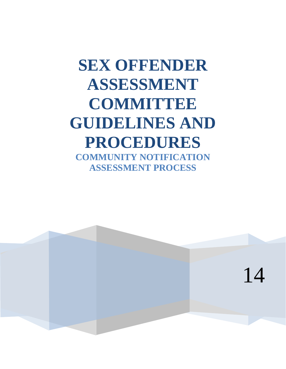# **SEX OFFENDER ASSESSMENT COMMITTEE GUIDELINES AND PROCEDURES COMMUNITY NOTIFICATION ASSESSMENT PROCESS**

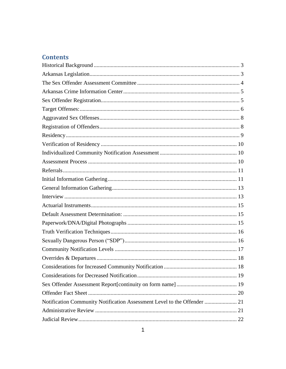# **Contents**

| Notification Community Notification Assessment Level to the Offender  21 |  |
|--------------------------------------------------------------------------|--|
|                                                                          |  |
|                                                                          |  |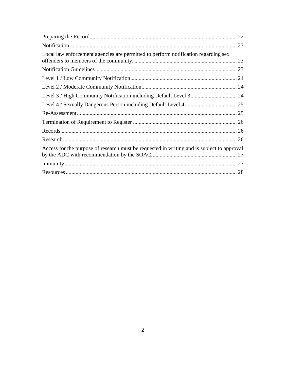|                                                                                            | 22 |
|--------------------------------------------------------------------------------------------|----|
|                                                                                            |    |
| Local law enforcement agencies are permitted to perform notification regarding sex         |    |
|                                                                                            |    |
|                                                                                            |    |
|                                                                                            |    |
|                                                                                            |    |
|                                                                                            |    |
|                                                                                            |    |
|                                                                                            |    |
|                                                                                            |    |
|                                                                                            |    |
| Access for the purpose of research must be requested in writing and is subject to approval |    |
|                                                                                            |    |
|                                                                                            |    |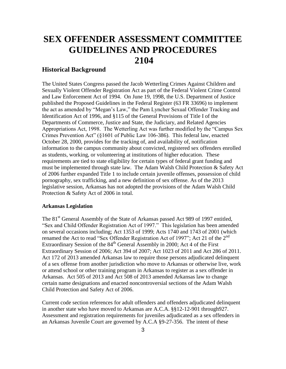# **SEX OFFENDER ASSESSMENT COMMITTEE GUIDELINES AND PROCEDURES 2104**

# <span id="page-3-0"></span>**Historical Background**

The United States Congress passed the Jacob Wetterling Crimes Against Children and Sexually Violent Offender Registration Act as part of the Federal Violent Crime Control and Law Enforcement Act of 1994. On June 19, 1998, the U.S. Department of Justice published the Proposed Guidelines in the Federal Register (63 FR 33696) to implement the act as amended by "Megan's Law," the Pam Lyncher Sexual Offender Tracking and Identification Act of 1996, and §115 of the General Provisions of Title I of the Departments of Commerce, Justice and State, the Judiciary, and Related Agencies Appropriations Act, 1998. The Wetterling Act was further modified by the "Campus Sex Crimes Prevention Act" (§1601 of Public Law 106-386). This federal law, enacted October 28, 2000, provides for the tracking of, and availability of, notification information to the campus community about convicted, registered sex offenders enrolled as students, working, or volunteering at institutions of higher education. These requirements are tied to state eligibility for certain types of federal grant funding and must be implemented through state law. The Adam Walsh Child Protection & Safety Act of 2006 further expanded Title 1 to include certain juvenile offenses, possession of child pornography, sex trafficking, and a new definition of sex offense. As of the 2013 legislative session, Arkansas has not adopted the provisions of the Adam Walsh Child Protection & Safety Act of 2006 in total.

# <span id="page-3-1"></span>**Arkansas Legislation**

The 81<sup>st</sup> General Assembly of the State of Arkansas passed Act 989 of 1997 entitled, "Sex and Child Offender Registration Act of 1997." This legislation has been amended on several occasions including; Act 1353 of 1999; Acts 1740 and 1743 of 2001 (which renamed the Act to read "Sex Offender Registration Act of 1997"; Act 21 of the  $2<sup>nd</sup>$ Extraordinary Session of the  $84<sup>th</sup>$  General Assembly in 2000; Act 4 of the First Extraordinary Session of 2006; Act 394 of 2007; Act 1023 of 2011 and Act 286 of 2011. Act 172 of 2013 amended Arkansas law to require those persons adjudicated delinquent of a sex offense from another jurisdiction who move to Arkansas or otherwise live, work or attend school or other training program in Arkansas to register as a sex offender in Arkansas. Act 505 of 2013 and Act 508 of 2013 amended Arkansas law to change certain name designations and enacted noncontroversial sections of the Adam Walsh Child Protection and Safety Act of 2006.

Current code section references for adult offenders and offenders adjudicated delinquent in another state who have moved to Arkansas are A.C.A. §§12-12-901 through927. Assessment and registration requirements for juveniles adjudicated as a sex offenders in an Arkansas Juvenile Court are governed by A.C.A §9-27-356. The intent of these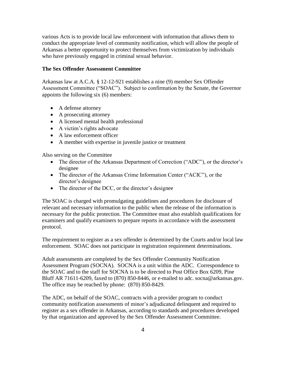various Acts is to provide local law enforcement with information that allows them to conduct the appropriate level of community notification, which will allow the people of Arkansas a better opportunity to protect themselves from victimization by individuals who have previously engaged in criminal sexual behavior.

# <span id="page-4-0"></span>**The Sex Offender Assessment Committee**

Arkansas law at A.C.A. § 12-12-921 establishes a nine (9) member Sex Offender Assessment Committee ("SOAC"). Subject to confirmation by the Senate, the Governor appoints the following six (6) members:

- A defense attorney
- A prosecuting attorney
- A licensed mental health professional
- A victim's rights advocate
- A law enforcement officer
- A member with expertise in juvenile justice or treatment

Also serving on the Committee

- The director of the Arkansas Department of Correction ("ADC"), or the director's designee
- The director of the Arkansas Crime Information Center ("ACIC"), or the director's designee
- The director of the DCC, or the director's designee

The SOAC is charged with promulgating guidelines and procedures for disclosure of relevant and necessary information to the public when the release of the information is necessary for the public protection. The Committee must also establish qualifications for examiners and qualify examiners to prepare reports in accordance with the assessment protocol.

The requirement to register as a sex offender is determined by the Courts and/or local law enforcement. SOAC does not participate in registration requirement determinations.

Adult assessments are completed by the Sex Offender Community Notification Assessment Program (SOCNA). SOCNA is a unit within the ADC. Correspondence to the SOAC and to the staff for SOCNA is to be directed to Post Office Box 6209, Pine Bluff AR 71611-6209, faxed to (870) 850-8446, or e-mailed to adc. socna@arkansas.gov. The office may be reached by phone: (870) 850-8429.

The ADC, on behalf of the SOAC, contracts with a provider program to conduct community notification assessments of minor's adjudicated delinquent and required to register as a sex offender in Arkansas, according to standards and procedures developed by that organization and approved by the Sex Offender Assessment Committee.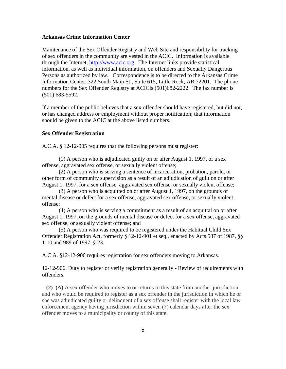#### <span id="page-5-0"></span>**Arkansas Crime Information Center**

Maintenance of the Sex Offender Registry and Web Site and responsibility for tracking of sex offenders in the community are vested in the ACIC. Information is available through the Internet, [http://www.acic.org.](http://www.acic.org/) The Internet links provide statistical information, as well as individual information, on offenders and Sexually Dangerous Persons as authorized by law. Correspondence is to be directed to the Arkansas Crime Information Center, 322 South Main St., Suite 615, Little Rock, AR 72201. The phone numbers for the Sex Offender Registry at ACICis (501)682-2222. The fax number is (501) 683-5592.

If a member of the public believes that a sex offender should have registered, but did not, or has changed address or employment without proper notification; that information should be given to the ACIC at the above listed numbers.

#### <span id="page-5-1"></span>**Sex Offender Registration**

A.C.A. § 12-12-905 requires that the following persons must register:

(1) A person who is adjudicated guilty on or after August 1, 1997, of a sex offense, aggravated sex offense, or sexually violent offense;

(2) A person who is serving a sentence of incarceration, probation, parole, or other form of community supervision as a result of an adjudication of guilt on or after August 1, 1997, for a sex offense, aggravated sex offense, or sexually violent offense;

(3) A person who is acquitted on or after August 1, 1997, on the grounds of mental disease or defect for a sex offense, aggravated sex offense, or sexually violent offense;

(4) A person who is serving a commitment as a result of an acquittal on or after August 1, 1997, on the grounds of mental disease or defect for a sex offense, aggravated sex offense, or sexually violent offense; and

(5) A person who was required to be registered under the Habitual Child Sex Offender Registration Act, formerly § 12-12-901 et seq., enacted by Acts 587 of 1987, §§ 1-10 and 989 of 1997, § 23.

A.C.A. §12-12-906 requires registration for sex offenders moving to Arkansas.

12-12-906. Duty to register or verify registration generally - Review of requirements with offenders.

 **(2) (A)** A sex offender who moves to or returns to this state from another jurisdiction and who would be required to register as a sex offender in the jurisdiction in which he or she was adjudicated guilty or delinquent of a sex offense shall register with the local law enforcement agency having jurisdiction within seven (7) calendar days after the sex offender moves to a municipality or county of this state.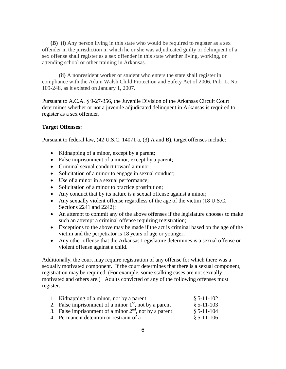**(B) (i)** Any person living in this state who would be required to register as a sex offender in the jurisdiction in which he or she was adjudicated guilty or delinquent of a sex offense shall register as a sex offender in this state whether living, working, or attending school or other training in Arkansas.

 **(ii)** A nonresident worker or student who enters the state shall register in compliance with the Adam Walsh Child Protection and Safety Act of 2006, Pub. L. No. 109-248, as it existed on January 1, 2007.

Pursuant to A.C.A. § 9-27-356, the Juvenile Division of the Arkansas Circuit Court determines whether or not a juvenile adjudicated delinquent in Arkansas is required to register as a sex offender.

#### <span id="page-6-0"></span>**Target Offenses:**

Pursuant to federal law, (42 U.S.C. 14071 a, (3) A and B), target offenses include:

- Kidnapping of a minor, except by a parent;
- False imprisonment of a minor, except by a parent;
- Criminal sexual conduct toward a minor;
- Solicitation of a minor to engage in sexual conduct;
- Use of a minor in a sexual performance;
- Solicitation of a minor to practice prostitution;
- Any conduct that by its nature is a sexual offense against a minor;
- Any sexually violent offense regardless of the age of the victim (18 U.S.C. Sections 2241 and 2242);
- An attempt to commit any of the above offenses if the legislature chooses to make such an attempt a criminal offense requiring registration;
- Exceptions to the above may be made if the act is criminal based on the age of the victim and the perpetrator is 18 years of age or younger;
- Any other offense that the Arkansas Legislature determines is a sexual offense or violent offense against a child.

Additionally, the court may require registration of any offense for which there was a sexually motivated component. If the court determines that there is a sexual component, registration may be required. (For example, some stalking cases are not sexually motivated and others are.) Adults convicted of any of the following offenses must register.

| 1. Kidnapping of a minor, not by a parent                | $$5-11-102$ |
|----------------------------------------------------------|-------------|
| 2. False imprisonment of a minor $1st$ , not by a parent | $$5-11-103$ |
| 3. False imprisonment of a minor $2nd$ , not by a parent | $$5-11-104$ |
| 4. Permanent detention or restraint of a                 | $$5-11-106$ |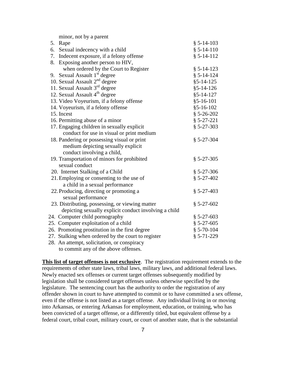| 5. | Rape                                                  | $§ 5-14-103$     |
|----|-------------------------------------------------------|------------------|
| 6. | Sexual indecency with a child                         | $§ 5-14-110$     |
| 7. | Indecent exposure, if a felony offense                | $§ 5-14-112$     |
| 8. | Exposing another person to HIV,                       |                  |
|    | when ordered by the Court to Register                 | $§ 5-14-123$     |
|    | 9. Sexual Assault 1 <sup>st</sup> degree              | $§ 5 - 14 - 124$ |
|    | 10. Sexual Assault 2 <sup>nd</sup> degree             | $§5 - 14 - 125$  |
|    | 11. Sexual Assault 3 <sup>rd</sup> degree             | $§ 5 - 14 - 126$ |
|    | 12. Sexual Assault 4 <sup>th</sup> degree             | $§ 5 - 14 - 127$ |
|    | 13. Video Voyeurism, if a felony offense              | $§ 5 - 16 - 101$ |
|    | 14. Voyeurism, if a felony offense                    | $§5 - 16 - 102$  |
|    | 15. Incest                                            | $$5-26-202$      |
|    | 16. Permitting abuse of a minor                       | $§ 5-27-221$     |
|    | 17. Engaging children in sexually explicit            | $$5-27-303$      |
|    | conduct for use in visual or print medium             |                  |
|    | 18. Pandering or possessing visual or print           | $§ 5-27-304$     |
|    | medium depicting sexually explicit                    |                  |
|    | conduct involving a child,                            |                  |
|    | 19. Transportation of minors for prohibited           | $$5-27-305$      |
|    | sexual conduct                                        |                  |
|    | 20. Internet Stalking of a Child                      | $$5-27-306$      |
|    | 21. Employing or consenting to the use of             | $$5-27-402$      |
|    | a child in a sexual performance                       |                  |
|    | 22. Producing, directing or promoting a               | $$5-27-403$      |
|    | sexual performance                                    |                  |
|    | 23. Distributing, possessing, or viewing matter       | $$5-27-602$      |
|    | depicting sexually explicit conduct involving a child |                  |
|    | 24. Computer child pornography                        | $$5-27-603$      |
|    | 25. Computer exploitation of a child                  | $$5-27-605$      |
|    | 26. Promoting prostitution in the first degree        | $$5-70-104$      |
|    | 27. Stalking when ordered by the court to register    | $§ 5-71-229$     |
|    | 28. An attempt, solicitation, or conspiracy           |                  |
|    | to commit any of the above offenses.                  |                  |

minor, not by a parent

requirements of other state laws, tribal laws, military laws, and additional federal laws. Newly enacted sex offenses or current target offenses subsequently modified by legislation shall be considered target offenses unless otherwise specified by the legislature. The sentencing court has the authority to order the registration of any offender shown in court to have attempted to commit or to have committed a sex offense, even if the offense is not listed as a target offense. Any individual living in or moving into Arkansas, or entering Arkansas for employment, education, or training, who has been convicted of a target offense, or a differently titled, but equivalent offense by a federal court, tribal court, military court, or court of another state, that is the substantial

**This list of target offenses is not exclusive**. The registration requirement extends to the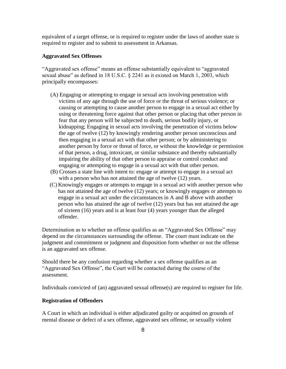equivalent of a target offense, or is required to register under the laws of another state is required to register and to submit to assessment in Arkansas.

#### <span id="page-8-0"></span>**Aggravated Sex Offenses**

"Aggravated sex offense" means an offense substantially equivalent to "aggravated sexual abuse" as defined in 18 U.S.C. § 2241 as it existed on March 1, 2003, which principally encompasses:

- (A) Engaging or attempting to engage in sexual acts involving penetration with victims of any age through the use of force or the threat of serious violence; or causing or attempting to cause another person to engage in a sexual act either by using or threatening force against that other person or placing that other person in fear that any person will be subjected to death, serious bodily injury, or kidnapping; Engaging in sexual acts involving the penetration of victims below the age of twelve (12) by knowingly rendering another person unconscious and then engaging in a sexual act with that other person; or by administering to another person by force or threat of force, or without the knowledge or permission of that person, a drug, intoxicant, or similar substance and thereby substantially impairing the ability of that other person to appraise or control conduct and engaging or attempting to engage in a sexual act with that other person.
- (B) Crosses a state line with intent to: engage or attempt to engage in a sexual act with a person who has not attained the age of twelve  $(12)$  years.
- (C) Knowingly engages or attempts to engage in a sexual act with another person who has not attained the age of twelve (12) years; or knowingly engages or attempts to engage in a sexual act under the circumstances in A and B above with another person who has attained the age of twelve (12) years but has not attained the age of sixteen (16) years and is at least four (4) years younger than the alleged offender.

Determination as to whether an offense qualifies as an "Aggravated Sex Offense" may depend on the circumstances surrounding the offense. The court must indicate on the judgment and commitment or judgment and disposition form whether or not the offense is an aggravated sex offense.

Should there be any confusion regarding whether a sex offense qualifies as an "Aggravated Sex Offense", the Court will be contacted during the course of the assessment.

Individuals convicted of (an) aggravated sexual offense(s) are required to register for life.

#### <span id="page-8-1"></span>**Registration of Offenders**

A Court in which an individual is either adjudicated guilty or acquitted on grounds of mental disease or defect of a sex offense, aggravated sex offense, or sexually violent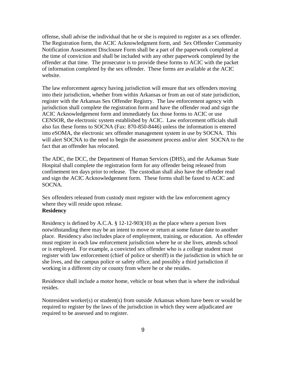offense, shall advise the individual that he or she is required to register as a sex offender. The Registration form, the ACIC Acknowledgment form, and Sex Offender Community Notification Assessment Disclousre Form shall be a part of the paperwork completed at the time of conviction and shall be included with any other paperwork completed by the offender at that time. The prosecutor is to provide these forms to ACIC with the packet of information completed by the sex offender. These forms are available at the ACIC website.

The law enforcement agency having jurisdiction will ensure that sex offenders moving into their jurisdiction, whether from within Arkansas or from an out of state jurisdiction, register with the Arkansas Sex Offender Registry. The law enforcement agency with jurisdiction shall complete the registration form and have the offender read and sign the ACIC Acknowledgement form and immediately fax those forms to ACIC or use CENSOR, the electronic system established by ACIC. Law enforcement officials shall also fax these forms to SOCNA (Fax: 870-850-8446) unless the information is entered into eSOMA, the electronic sex offender management system in use by SOCNA. This will alert SOCNA to the need to begin the assessment process and/or alert SOCNA to the fact that an offender has relocated.

The ADC, the DCC, the Department of Human Services (DHS), and the Arkansas State Hospital shall complete the registration form for any offender being released from confinement ten days prior to release. The custodian shall also have the offender read and sign the ACIC Acknowledgement form. These forms shall be faxed to ACIC and SOCNA.

Sex offenders released from custody must register with the law enforcement agency where they will reside upon release.

# <span id="page-9-0"></span>**Residency**

Residency is defined by A.C.A. § 12-12-903(10) as the place where a person lives notwithstanding there may be an intent to move or return at some future date to another place. Residency also includes place of employment, training, or education. An offender must register in each law enforcement jurisdiction where he or she lives, attends school or is employed. For example, a convicted sex offender who is a college student must register with law enforcement (chief of police or sheriff) in the jurisdiction in which he or she lives, and the campus police or safety office, and possibly a third jurisdiction if working in a different city or county from where he or she resides.

Residence shall include a motor home, vehicle or boat when that is where the individual resides.

Nonresident worker(s) or student(s) from outside Arkansas whom have been or would be required to register by the laws of the jurisdiction in which they were adjudicated are required to be assessed and to register.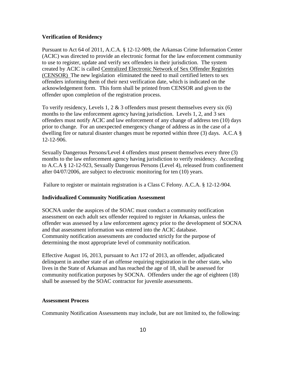#### <span id="page-10-0"></span>**Verification of Residency**

Pursuant to Act 64 of 2011, A.C.A. § 12-12-909, the Arkansas Crime Information Center (ACIC) was directed to provide an electronic format for the law enforcement community to use to register, update and verify sex offenders in their jurisdiction. The system created by ACIC is called Centralized Electronic Network of Sex Offender Registries (CENSOR) The new legislation eliminated the need to mail certified letters to sex offenders informing them of their next verification date, which is indicated on the acknowledgement form. This form shall be printed from CENSOR and given to the offender upon completion of the registration process.

To verify residency, Levels 1, 2  $\&$  3 offenders must present themselves every six (6) months to the law enforcement agency having jurisdiction. Levels 1, 2, and 3 sex offenders must notify ACIC and law enforcement of any change of address ten (10) days prior to change. For an unexpected emergency change of address as in the case of a dwelling fire or natural disaster changes must be reported within three (3) days. A.C.A § 12-12-906.

Sexually Dangerous Persons/Level 4 offenders must present themselves every three (3) months to the law enforcement agency having jurisdiction to verify residency. According to A.C.A § 12-12-923, Sexually Dangerous Persons (Level 4), released from confinement after 04/07/2006, are subject to electronic monitoring for ten (10) years.

Failure to register or maintain registration is a Class C Felony. A.C.A. § 12-12-904.

#### <span id="page-10-1"></span>**Individualized Community Notification Assessment**

SOCNA under the auspices of the SOAC must conduct a community notification assessment on each adult sex offender required to register in Arkansas, unless the offender was assessed by a law enforcement agency prior to the development of SOCNA and that assessment information was entered into the ACIC database. Community notification assessments are conducted strictly for the purpose of determining the most appropriate level of community notification.

Effective August 16, 2013, pursuant to Act 172 of 2013, an offender, adjudicated delinquent in another state of an offense requiring registration in the other state, who lives in the State of Arkansas and has reached the age of 18, shall be assessed for community notification purposes by SOCNA. Offenders under the age of eighteen (18) shall be assessed by the SOAC contractor for juvenile assessments.

#### <span id="page-10-2"></span>**Assessment Process**

Community Notification Assessments may include, but are not limited to, the following: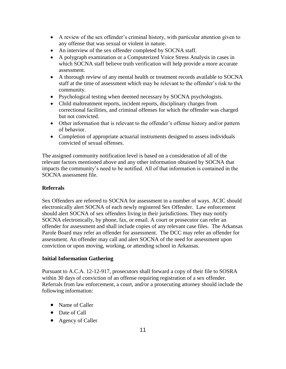- A review of the sex offender's criminal history, with particular attention given to any offense that was sexual or violent in nature.
- An interview of the sex offender completed by SOCNA staff.
- A polygraph examination or a Computerized Voice Stress Analysis in cases in which SOCNA staff believe truth verification will help provide a more accurate assessment.
- A thorough review of any mental health or treatment records available to SOCNA staff at the time of assessment which may be relevant to the offender's risk to the community.
- Psychological testing when deemed necessary by SOCNA psychologists.
- Child maltreatment reports, incident reports, disciplinary charges from correctional facilities, and criminal offenses for which the offender was charged but not convicted.
- Other information that is relevant to the offender's offense history and/or pattern of behavior.
- Completion of appropriate actuarial instruments designed to assess individuals convicted of sexual offenses.

The assigned community notification level is based on a consideration of all of the relevant factors mentioned above and any other information obtained by SOCNA that impacts the community's need to be notified. All of that information is contained in the SOCNA assessment file.

# <span id="page-11-0"></span>**Referrals**

Sex Offenders are referred to SOCNA for assessment in a number of ways. ACIC should electronically alert SOCNA of each newly registered Sex Offender. Law enforcement should alert SOCNA of sex offenders living in their jurisdictions. They may notify SOCNA electronically, by phone, fax, or email. A court or prosecutor can refer an offender for assessment and shall include copies of any relevant case files. The Arkansas Parole Board may refer an offender for assessment. The DCC may refer an offender for assessment. An offender may call and alert SOCNA of the need for assessment upon conviction or upon moving, working, or attending school in Arkansas.

# <span id="page-11-1"></span>**Initial Information Gathering**

Pursuant to A.C.A. 12-12-917, prosecutors shall forward a copy of their file to SOSRA within 30 days of conviction of an offense requiring registration of a sex offender. Referrals from law enforcement, a court, and/or a prosecuting attorney should include the following information:

- Name of Caller
- Date of Call
- Agency of Caller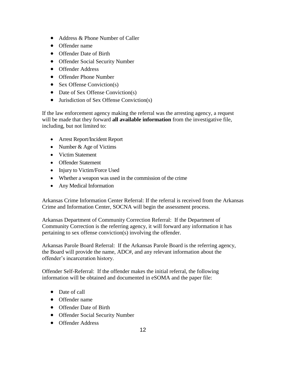- Address & Phone Number of Caller
- Offender name
- Offender Date of Birth
- Offender Social Security Number
- **•** Offender Address
- Offender Phone Number
- Sex Offense Conviction(s)
- Date of Sex Offense Conviction(s)
- Jurisdiction of Sex Offense Conviction(s)

If the law enforcement agency making the referral was the arresting agency, a request will be made that they forward **all available information** from the investigative file, including, but not limited to:

- Arrest Report/Incident Report
- Number & Age of Victims
- Victim Statement
- Offender Statement
- Injury to Victim/Force Used
- Whether a weapon was used in the commission of the crime
- Any Medical Information

Arkansas Crime Information Center Referral: If the referral is received from the Arkansas Crime and Information Center, SOCNA will begin the assessment process.

Arkansas Department of Community Correction Referral: If the Department of Community Correction is the referring agency, it will forward any information it has pertaining to sex offense conviction(s) involving the offender.

Arkansas Parole Board Referral: If the Arkansas Parole Board is the referring agency, the Board will provide the name, ADC#, and any relevant information about the offender's incarceration history.

Offender Self-Referral: If the offender makes the initial referral, the following information will be obtained and documented in eSOMA and the paper file:

- Date of call
- Offender name
- Offender Date of Birth
- Offender Social Security Number
- **•** Offender Address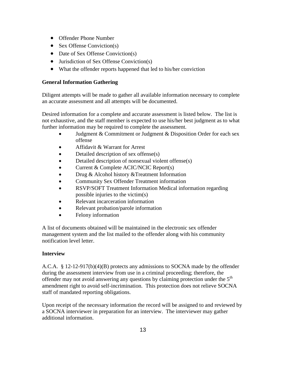- Offender Phone Number
- Sex Offense Conviction(s)
- Date of Sex Offense Conviction(s)
- Jurisdiction of Sex Offense Conviction(s)
- What the offender reports happened that led to his/her conviction

# <span id="page-13-0"></span>**General Information Gathering**

Diligent attempts will be made to gather all available information necessary to complete an accurate assessment and all attempts will be documented.

Desired information for a complete and accurate assessment is listed below. The list is not exhaustive, and the staff member is expected to use his/her best judgment as to what further information may be required to complete the assessment.

- Judgment & Commitment or Judgment & Disposition Order for each sex offense
- Affidavit & Warrant for Arrest
- Detailed description of sex offense(s)
- Detailed description of nonsexual violent offense(s)
- Current & Complete ACIC/NCIC Report(s)
- Drug & Alcohol history &Treatment Information
- Community Sex Offender Treatment information
- RSVP/SOFT Treatment Information Medical information regarding possible injuries to the victim(s)
- Relevant incarceration information
- Relevant probation/parole information
- Felony information

A list of documents obtained will be maintained in the electronic sex offender management system and the list mailed to the offender along with his community notification level letter.

# <span id="page-13-1"></span>**Interview**

A.C.A. § 12-12-917(b)(4)(B) protects any admissions to SOCNA made by the offender during the assessment interview from use in a criminal proceeding; therefore, the offender may not avoid answering any questions by claiming protection under the 5<sup>th</sup> amendment right to avoid self-incrimination. This protection does not relieve SOCNA staff of mandated reporting obligations.

Upon receipt of the necessary information the record will be assigned to and reviewed by a SOCNA interviewer in preparation for an interview. The interviewer may gather additional information.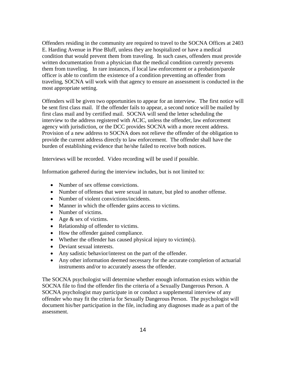Offenders residing in the community are required to travel to the SOCNA Offices at 2403 E. Harding Avenue in Pine Bluff, unless they are hospitalized or have a medical condition that would prevent them from traveling. In such cases, offenders must provide written documentation from a physician that the medical condition currently prevents them from traveling. In rare instances, if local law enforcement or a probation/parole officer is able to confirm the existence of a condition preventing an offender from traveling, SOCNA will work with that agency to ensure an assessment is conducted in the most appropriate setting.

Offenders will be given two opportunities to appear for an interview. The first notice will be sent first class mail. If the offender fails to appear, a second notice will be mailed by first class mail and by certified mail. SOCNA will send the letter scheduling the interview to the address registered with ACIC, unless the offender, law enforcement agency with jurisdiction, or the DCC provides SOCNA with a more recent address. Provision of a new address to SOCNA does not relieve the offender of the obligation to provide the current address directly to law enforcement. The offender shall have the burden of establishing evidence that he/she failed to receive both notices.

Interviews will be recorded. Video recording will be used if possible.

Information gathered during the interview includes, but is not limited to:

- Number of sex offense convictions.
- Number of offenses that were sexual in nature, but pled to another offense.
- Number of violent convictions/incidents.
- Manner in which the offender gains access to victims.
- Number of victims.
- Age  $&$  sex of victims.
- Relationship of offender to victims.
- How the offender gained compliance.
- Whether the offender has caused physical injury to victim(s).
- Deviant sexual interests.
- Any sadistic behavior/interest on the part of the offender.
- Any other information deemed necessary for the accurate completion of actuarial instruments and/or to accurately assess the offender.

The SOCNA psychologist will determine whether enough information exists within the SOCNA file to find the offender fits the criteria of a Sexually Dangerous Person. A SOCNA psychologist may participate in or conduct a supplemental interview of any offender who may fit the criteria for Sexually Dangerous Person. The psychologist will document his/her participation in the file, including any diagnoses made as a part of the assessment.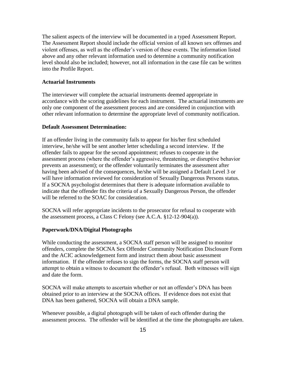The salient aspects of the interview will be documented in a typed Assessment Report. The Assessment Report should include the official version of all known sex offenses and violent offenses, as well as the offender's version of these events. The information listed above and any other relevant information used to determine a community notification level should also be included; however, not all information in the case file can be written into the Profile Report.

#### <span id="page-15-0"></span>**Actuarial Instruments**

The interviewer will complete the actuarial instruments deemed appropriate in accordance with the scoring guidelines for each instrument. The actuarial instruments are only one component of the assessment process and are considered in conjunction with other relevant information to determine the appropriate level of community notification.

#### <span id="page-15-1"></span>**Default Assessment Determination:**

If an offender living in the community fails to appear for his/her first scheduled interview, he/she will be sent another letter scheduling a second interview. If the offender fails to appear for the second appointment; refuses to cooperate in the assessment process (where the offender's aggressive, threatening, or disruptive behavior prevents an assessment); or the offender voluntarily terminates the assessment after having been advised of the consequences, he/she will be assigned a Default Level 3 or will have information reviewed for consideration of Sexually Dangerous Persons status. If a SOCNA psychologist determines that there is adequate information available to indicate that the offender fits the criteria of a Sexually Dangerous Person, the offender will be referred to the SOAC for consideration.

SOCNA will refer appropriate incidents to the prosecutor for refusal to cooperate with the assessment process, a Class C Felony (see A.C.A. §12-12-904(a)).

#### <span id="page-15-2"></span>**Paperwork/DNA/Digital Photographs**

While conducting the assessment, a SOCNA staff person will be assigned to monitor offenders, complete the SOCNA Sex Offender Community Notification Disclosure Form and the ACIC acknowledgement form and instruct them about basic assessment information. If the offender refuses to sign the forms, the SOCNA staff person will attempt to obtain a witness to document the offender's refusal. Both witnesses will sign and date the form.

SOCNA will make attempts to ascertain whether or not an offender's DNA has been obtained prior to an interview at the SOCNA offices. If evidence does not exist that DNA has been gathered, SOCNA will obtain a DNA sample.

Whenever possible, a digital photograph will be taken of each offender during the assessment process. The offender will be identified at the time the photographs are taken.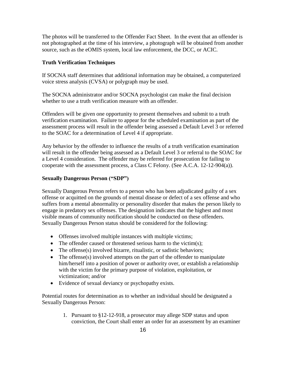The photos will be transferred to the Offender Fact Sheet. In the event that an offender is not photographed at the time of his interview, a photograph will be obtained from another source, such as the eOMIS system, local law enforcement, the DCC, or ACIC.

#### <span id="page-16-0"></span>**Truth Verification Techniques**

If SOCNA staff determines that additional information may be obtained, a computerized voice stress analysis (CVSA) or polygraph may be used.

The SOCNA administrator and/or SOCNA psychologist can make the final decision whether to use a truth verification measure with an offender.

Offenders will be given one opportunity to present themselves and submit to a truth verification examination. Failure to appear for the scheduled examination as part of the assessment process will result in the offender being assessed a Default Level 3 or referred to the SOAC for a determination of Level 4 if appropriate.

Any behavior by the offender to influence the results of a truth verification examination will result in the offender being assessed as a Default Level 3 or referral to the SOAC for a Level 4 consideration. The offender may be referred for prosecution for failing to cooperate with the assessment process, a Class C Felony. (See A.C.A. 12-12-904(a)).

## <span id="page-16-1"></span>**Sexually Dangerous Person ("SDP")**

Sexually Dangerous Person refers to a person who has been adjudicated guilty of a sex offense or acquitted on the grounds of mental disease or defect of a sex offense and who suffers from a mental abnormality or personality disorder that makes the person likely to engage in predatory sex offenses. The designation indicates that the highest and most visible means of community notification should be conducted on these offenders. Sexually Dangerous Person status should be considered for the following:

- Offenses involved multiple instances with multiple victims;
- The offender caused or threatened serious harm to the victim(s);
- The offense(s) involved bizarre, ritualistic, or sadistic behaviors;
- The offense(s) involved attempts on the part of the offender to manipulate him/herself into a position of power or authority over, or establish a relationship with the victim for the primary purpose of violation, exploitation, or victimization; and/or
- Evidence of sexual deviancy or psychopathy exists.

Potential routes for determination as to whether an individual should be designated a Sexually Dangerous Person:

> 1. Pursuant to §12-12-918, a prosecutor may allege SDP status and upon conviction, the Court shall enter an order for an assessment by an examiner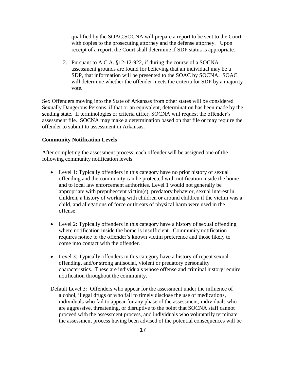qualified by the SOAC.SOCNA will prepare a report to be sent to the Court with copies to the prosecuting attorney and the defense attorney. Upon receipt of a report, the Court shall determine if SDP status is appropriate.

 2. Pursuant to A.C.A. §12-12-922, if during the course of a SOCNA assessment grounds are found for believing that an individual may be a SDP, that information will be presented to the SOAC by SOCNA. SOAC will determine whether the offender meets the criteria for SDP by a majority vote.

Sex Offenders moving into the State of Arkansas from other states will be considered Sexually Dangerous Persons, if that or an equivalent, determination has been made by the sending state. If terminologies or criteria differ, SOCNA will request the offender's assessment file. SOCNA may make a determination based on that file or may require the offender to submit to assessment in Arkansas.

#### <span id="page-17-0"></span>**Community Notification Levels**

After completing the assessment process, each offender will be assigned one of the following community notification levels.

- Level 1: Typically offenders in this category have no prior history of sexual offending and the community can be protected with notification inside the home and to local law enforcement authorities. Level 1 would not generally be appropriate with prepubescent victim(s), predatory behavior, sexual interest in children, a history of working with children or around children if the victim was a child, and allegations of force or threats of physical harm were used in the offense.
- Level 2: Typically offenders in this category have a history of sexual offending where notification inside the home is insufficient. Community notification requires notice to the offender's known victim preference and those likely to come into contact with the offender.
- Level 3: Typically offenders in this category have a history of repeat sexual offending, and/or strong antisocial, violent or predatory personality characteristics.These are individuals whose offense and criminal history require notification throughout the community.
- Default Level 3:Offenders who appear for the assessment under the influence of alcohol, illegal drugs or who fail to timely disclose the use of medications, individuals who fail to appear for any phase of the assessment, individuals who are aggressive, threatening, or disruptive to the point that SOCNA staff cannot proceed with the assessment process, and individuals who voluntarily terminate the assessment process having been advised of the potential consequences will be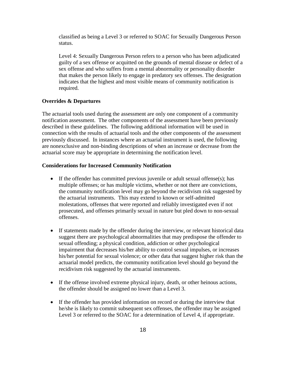classified as being a Level 3 or referred to SOAC for Sexually Dangerous Person status.

Level 4: Sexually Dangerous Person refers to a person who has been adjudicated guilty of a sex offense or acquitted on the grounds of mental disease or defect of a sex offense and who suffers from a mental abnormality or personality disorder that makes the person likely to engage in predatory sex offenses. The designation indicates that the highest and most visible means of community notification is required.

#### <span id="page-18-0"></span>**Overrides & Departures**

The actuarial tools used during the assessment are only one component of a community notification assessment. The other components of the assessment have been previously described in these guidelines. The following additional information will be used in connection with the results of actuarial tools and the other components of the assessment previously discussed. In instances where an actuarial instrument is used, the following are nonexclusive and non-binding descriptions of when an increase or decrease from the actuarial score may be appropriate in determining the notification level.

#### <span id="page-18-1"></span>**Considerations for Increased Community Notification**

- If the offender has committed previous juvenile or adult sexual offense(s); has multiple offenses; or has multiple victims, whether or not there are convictions, the community notification level may go beyond the recidivism risk suggested by the actuarial instruments. This may extend to known or self-admitted molestations, offenses that were reported and reliably investigated even if not prosecuted, and offenses primarily sexual in nature but pled down to non-sexual offenses.
- If statements made by the offender during the interview, or relevant historical data suggest there are psychological abnormalities that may predispose the offender to sexual offending; a physical condition, addiction or other psychological impairment that decreases his/her ability to control sexual impulses, or increases his/her potential for sexual violence; or other data that suggest higher risk than the actuarial model predicts, the community notification level should go beyond the recidivism risk suggested by the actuarial instruments.
- If the offense involved extreme physical injury, death, or other heinous actions, the offender should be assigned no lower than a Level 3.
- If the offender has provided information on record or during the interview that he/she is likely to commit subsequent sex offenses, the offender may be assigned Level 3 or referred to the SOAC for a determination of Level 4, if appropriate.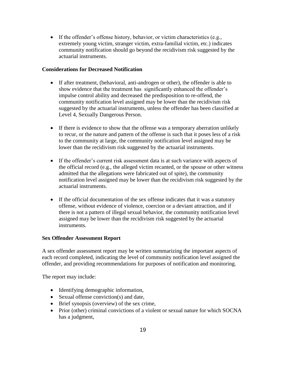If the offender's offense history, behavior, or victim characteristics (e.g., extremely young victim, stranger victim, extra-familial victim, etc.) indicates community notification should go beyond the recidivism risk suggested by the actuarial instruments.

# <span id="page-19-0"></span>**Considerations for Decreased Notification**

- If after treatment, (behavioral, anti-androgen or other), the offender is able to show evidence that the treatment has significantly enhanced the offender's impulse control ability and decreased the predisposition to re-offend, the community notification level assigned may be lower than the recidivism risk suggested by the actuarial instruments, unless the offender has been classified at Level 4, Sexually Dangerous Person.
- If there is evidence to show that the offense was a temporary aberration unlikely to recur, or the nature and pattern of the offense is such that it poses less of a risk to the community at large, the community notification level assigned may be lower than the recidivism risk suggested by the actuarial instruments.
- If the offender's current risk assessment data is at such variance with aspects of the official record (e.g., the alleged victim recanted, or the spouse or other witness admitted that the allegations were fabricated out of spite), the community notification level assigned may be lower than the recidivism risk suggested by the actuarial instruments.
- If the official documentation of the sex offense indicates that it was a statutory offense, without evidence of violence, coercion or a deviant attraction, and if there is not a pattern of illegal sexual behavior, the community notification level assigned may be lower than the recidivism risk suggested by the actuarial instruments.

# <span id="page-19-1"></span>**Sex Offender Assessment Report**

A sex offender assessment report may be written summarizing the important aspects of each record completed, indicating the level of community notification level assigned the offender, and providing recommendations for purposes of notification and monitoring.

The report may include:

- Identifying demographic information,
- Sexual offense conviction(s) and date,
- Brief synopsis (overview) of the sex crime,
- Prior (other) criminal convictions of a violent or sexual nature for which SOCNA has a judgment,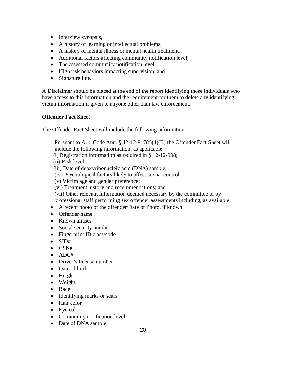- Interview synopsis,
- A history of learning or intellectual problems,
- A history of mental illness or mental health treatment,
- Additional factors affecting community notification level,
- The assessed community notification level,
- High risk behaviors impacting supervision, and
- Signature line.

A Disclaimer should be placed at the end of the report identifying those individuals who have access to this information and the requirement for them to delete any identifying victim information if given to anyone other than law enforcement.

# <span id="page-20-0"></span>**Offender Fact Sheet**

The Offender Fact Sheet will include the following information:

Pursuant to Ark. Code Ann. § 12-12-917(f)(4)(B) the Offender Fact Sheet will include the following information, as applicable:

(i) Registration information as required in § 12-12-908;

(ii) Risk level;

(iii) Date of deoxyribonucleic acid (DNA) sample;

- (iv) Psychological factors likely to affect sexual control;
- (v) Victim age and gender preference;
- (vi) Treatment history and recommendations; and

(vii) Other relevant information deemed necessary by the committee or by professional staff performing sex offender assessments including, as available,

- A recent photo of the offender/Date of Photo, if known
- Offender name
- Known aliases
- Social security number
- Fingerprint ID class/code
- $\bullet$  SID#
- $\bullet$  CSN#
- $\bullet$  ADC#
- Driver's license number
- Date of birth
- Height
- Weight
- Race
- Identifying marks or scars
- Hair color
- Eye color
- Community notification level
- Date of DNA sample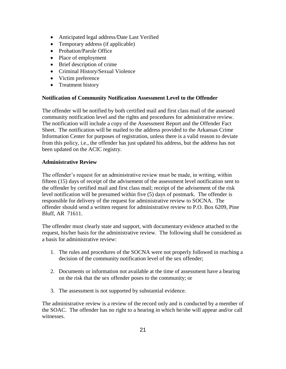- Anticipated legal address/Date Last Verified
- Temporary address (if applicable)
- Probation/Parole Office
- Place of employment
- Brief description of crime
- Criminal History/Sexual Violence
- Victim preference
- Treatment history

# <span id="page-21-0"></span>**Notification of Community Notification Assessment Level to the Offender**

The offender will be notified by both certified mail and first class mail of the assessed community notification level and the rights and procedures for administrative review. The notification will include a copy of the Assessment Report and the Offender Fact Sheet. The notification will be mailed to the address provided to the Arkansas Crime Information Center for purposes of registration, unless there is a valid reason to deviate from this policy, i.e., the offender has just updated his address, but the address has not been updated on the ACIC registry.

# <span id="page-21-1"></span>**Administrative Review**

The offender's request for an administrative review must be made, in writing, within fifteen (15) days of receipt of the advisement of the assessment level notification sent to the offender by certified mail and first class mail; receipt of the advisement of the risk level notification will be presumed within five (5) days of postmark. The offender is responsible for delivery of the request for administrative review to SOCNA. The offender should send a written request for administrative review to P.O. Box 6209, Pine Bluff, AR 71611.

The offender must clearly state and support, with documentary evidence attached to the request, his/her basis for the administrative review. The following shall be considered as a basis for administrative review:

- 1. The rules and procedures of the SOCNA were not properly followed in reaching a decision of the community notification level of the sex offender;
- 2. Documents or information not available at the time of assessment have a bearing on the risk that the sex offender poses to the community; or
- 3. The assessment is not supported by substantial evidence.

The administrative review is a review of the record only and is conducted by a member of the SOAC. The offender has no right to a hearing in which he/she will appear and/or call witnesses.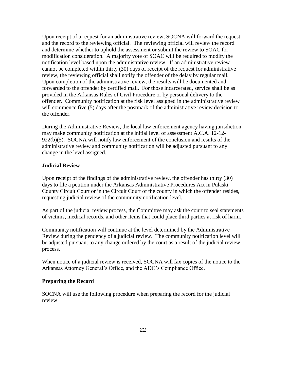Upon receipt of a request for an administrative review, SOCNA will forward the request and the record to the reviewing official. The reviewing official will review the record and determine whether to uphold the assessment or submit the review to SOAC for modification consideration. A majority vote of SOAC will be required to modify the notification level based upon the administrative review. If an administrative review cannot be completed within thirty (30) days of receipt of the request for administrative review, the reviewing official shall notify the offender of the delay by regular mail. Upon completion of the administrative review, the results will be documented and forwarded to the offender by certified mail. For those incarcerated, service shall be as provided in the Arkansas Rules of Civil Procedure or by personal delivery to the offender. Community notification at the risk level assigned in the administrative review will commence five (5) days after the postmark of the administrative review decision to the offender.

During the Administrative Review, the local law enforcement agency having jurisdiction may make community notification at the initial level of assessment A.C.A. 12-12- 922(b)(5). SOCNA will notify law enforcement of the conclusion and results of the administrative review and community notification will be adjusted pursuant to any change in the level assigned.

#### <span id="page-22-0"></span>**Judicial Review**

Upon receipt of the findings of the administrative review, the offender has thirty (30) days to file a petition under the Arkansas Administrative Procedures Act in Pulaski County Circuit Court or in the Circuit Court of the county in which the offender resides, requesting judicial review of the community notification level.

As part of the judicial review process, the Committee may ask the court to seal statements of victims, medical records, and other items that could place third parties at risk of harm.

Community notification will continue at the level determined by the Administrative Review during the pendency of a judicial review. The community notification level will be adjusted pursuant to any change ordered by the court as a result of the judicial review process.

When notice of a judicial review is received, SOCNA will fax copies of the notice to the Arkansas Attorney General's Office, and the ADC's Compliance Office.

#### <span id="page-22-1"></span>**Preparing the Record**

SOCNA will use the following procedure when preparing the record for the judicial review: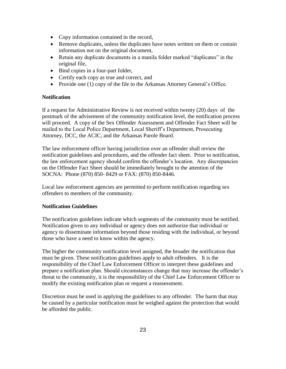- Copy information contained in the record,
- Remove duplicates, unless the duplicates have notes written on them or contain information not on the original document,
- Retain any duplicate documents in a manila folder marked "duplicates" in the original file,
- Bind copies in a four-part folder,
- Certify each copy as true and correct, and
- Provide one (1) copy of the file to the Arkansas Attorney General's Office.

# <span id="page-23-0"></span>**Notification**

If a request for Administrative Review is not received within twenty (20) days of the postmark of the advisement of the community notification level, the notification process will proceed. A copy of the Sex Offender Assessment and Offender Fact Sheet will be mailed to the Local Police Department, Local Sheriff's Department, Prosecuting Attorney, DCC, the ACIC, and the Arkansas Parole Board.

The law enforcement officer having jurisdiction over an offender shall review the notification guidelines and procedures, and the offender fact sheet. Prior to notification, the law enforcement agency should confirm the offender's location. Any discrepancies on the Offender Fact Sheet should be immediately brought to the attention of the SOCNA: Phone (870) 850- 8429 or FAX: (870) 850-8446.

<span id="page-23-1"></span>Local law enforcement agencies are permitted to perform notification regarding sex offenders to members of the community.

# <span id="page-23-2"></span>**Notification Guidelines**

The notification guidelines indicate which segments of the community must be notified. Notification given to any individual or agency does not authorize that individual or agency to disseminate information beyond those residing with the individual, or beyond those who have a need to know within the agency.

The higher the community notification level assigned, the broader the notification that must be given. These notification guidelines apply to adult offenders. It is the responsibility of the Chief Law Enforcement Officer to interpret these guidelines and prepare a notification plan. Should circumstances change that may increase the offender's threat to the community, it is the responsibility of the Chief Law Enforcement Officer to modify the existing notification plan or request a reassessment.

Discretion must be used in applying the guidelines to any offender. The harm that may be caused by a particular notification must be weighed against the protection that would be afforded the public.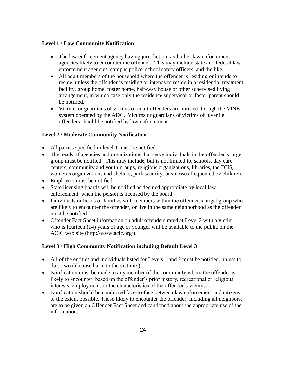# <span id="page-24-0"></span>**Level 1 / Low Community Notification**

- The law enforcement agency having jurisdiction, and other law enforcement agencies likely to encounter the offender. This may include state and federal law enforcement agencies, campus police, school safety officers, and the like.
- All adult members of the household where the offender is residing or intends to reside, unless the offender is residing or intends to reside in a residential treatment facility, group home, foster home, half-way house or other supervised living arrangement, in which case only the residence supervisor or foster parent should be notified.
- Victims or guardians of victims of adult offenders are notified through the VINE system operated by the ADC. Victims or guardians of victims of juvenile offenders should be notified by law enforcement.

# <span id="page-24-1"></span>**Level 2 / Moderate Community Notification**

- All parties specified in level 1 must be notified.
- The heads of agencies and organizations that serve individuals in the offender's target group must be notified. This may include, but is not limited to, schools, day care centers, community and youth groups, religious organizations, libraries, the DHS, women's organizations and shelters, park security, businesses frequented by children.
- Employers must be notified.
- State licensing boards will be notified as deemed appropriate by local law enforcement, when the person is licensed by the board.
- Individuals or heads of families with members within the offender's target group who are likely to encounter the offender, or live in the same neighborhood as the offender must be notified.
- Offender Fact Sheet information on adult offenders rated at Level 2 with a victim who is fourteen (14) years of age or younger will be available to the public on the ACIC web site (http://www.acic.org/).

# <span id="page-24-2"></span>**Level 3 / High Community Notification including Default Level 3**

- All of the entities and individuals listed for Levels 1 and 2 must be notified, unless to do so would cause harm to the victim(s).
- Notification must be made to any member of the community whom the offender is likely to encounter, based on the offender's prior history, recreational or religious interests, employment, or the characteristics of the offender's victims.
- Notification should be conducted face-to-face between law enforcement and citizens to the extent possible. Those likely to encounter the offender, including all neighbors, are to be given an Offender Fact Sheet and cautioned about the appropriate use of the information.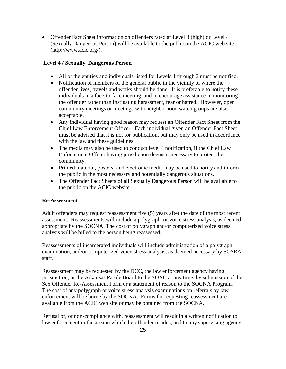• Offender Fact Sheet information on offenders rated at Level 3 (high) or Level 4 (Sexually Dangerous Person) will be available to the public on the ACIC web site (http://www.acic.org/).

# <span id="page-25-0"></span>**Level 4 / Sexually Dangerous Person**

- All of the entities and individuals listed for Levels 1 through 3 must be notified.
- Notification of members of the general public in the vicinity of where the offender lives, travels and works should be done. It is preferable to notify these individuals in a face-to-face meeting, and to encourage assistance in monitoring the offender rather than instigating harassment, fear or hatred. However, open community meetings or meetings with neighborhood watch groups are also acceptable.
- Any individual having good reason may request an Offender Fact Sheet from the Chief Law Enforcement Officer. Each individual given an Offender Fact Sheet must be advised that it is not for publication, but may only be used in accordance with the law and these guidelines.
- The media may also be used to conduct level 4 notification, if the Chief Law Enforcement Officer having jurisdiction deems it necessary to protect the community.
- Printed material, posters, and electronic media may be used to notify and inform the public in the most necessary and potentially dangerous situations.
- The Offender Fact Sheets of all Sexually Dangerous Person will be available to the public on the ACIC website.

# <span id="page-25-1"></span>**Re-Assessment**

Adult offenders may request reassessment five (5) years after the date of the most recent assessment. Reassessments will include a polygraph, or voice stress analysis, as deemed appropriate by the SOCNA. The cost of polygraph and/or computerized voice stress analysis will be billed to the person being reassessed.

Reassessments of incarcerated individuals will include administration of a polygraph examination, and/or computerized voice stress analysis, as deemed necessary by SOSRA staff.

Reassessment may be requested by the DCC, the law enforcement agency having jurisdiction, or the Arkansas Parole Board to the SOAC at any time, by submission of the Sex Offender Re-Assessment Form or a statement of reason to the SOCNA Program. The cost of any polygraph or voice stress analysis examinations on referrals by law enforcement will be borne by the SOCNA. Forms for requesting reassessment are available from the ACIC web site or may be obtained from the SOCNA.

Refusal of, or non-compliance with, reassessment will result in a written notification to law enforcement in the area in which the offender resides, and to any supervising agency.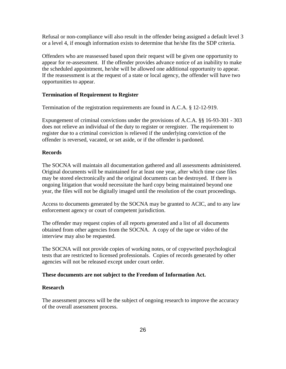Refusal or non-compliance will also result in the offender being assigned a default level 3 or a level 4, if enough information exists to determine that he/she fits the SDP criteria.

Offenders who are reassessed based upon their request will be given one opportunity to appear for re-assessment. If the offender provides advance notice of an inability to make the scheduled appointment, he/she will be allowed one additional opportunity to appear. If the reassessment is at the request of a state or local agency, the offender will have two opportunities to appear.

#### <span id="page-26-0"></span>**Termination of Requirement to Register**

Termination of the registration requirements are found in A.C.A. § 12-12-919.

Expungement of criminal convictions under the provisions of A.C.A. §§ 16-93-301 - 303 does not relieve an individual of the duty to register or reregister. The requirement to register due to a criminal conviction is relieved if the underlying conviction of the offender is reversed, vacated, or set aside, or if the offender is pardoned.

#### <span id="page-26-1"></span>**Records**

The SOCNA will maintain all documentation gathered and all assessments administered. Original documents will be maintained for at least one year, after which time case files may be stored electronically and the original documents can be destroyed. If there is ongoing litigation that would necessitate the hard copy being maintained beyond one year, the files will not be digitally imaged until the resolution of the court proceedings.

Access to documents generated by the SOCNA may be granted to ACIC, and to any law enforcement agency or court of competent jurisdiction.

The offender may request copies of all reports generated and a list of all documents obtained from other agencies from the SOCNA. A copy of the tape or video of the interview may also be requested.

The SOCNA will not provide copies of working notes, or of copywrited psychological tests that are restricted to licensed professionals. Copies of records generated by other agencies will not be released except under court order.

#### **These documents are not subject to the Freedom of Information Act.**

# <span id="page-26-2"></span>**Research**

The assessment process will be the subject of ongoing research to improve the accuracy of the overall assessment process.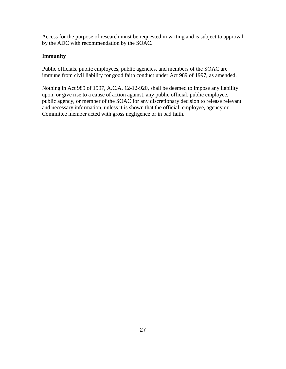<span id="page-27-0"></span>Access for the purpose of research must be requested in writing and is subject to approval by the ADC with recommendation by the SOAC.

# <span id="page-27-1"></span>**Immunity**

Public officials, public employees, public agencies, and members of the SOAC are immune from civil liability for good faith conduct under Act 989 of 1997, as amended.

Nothing in Act 989 of 1997, A.C.A. 12-12-920, shall be deemed to impose any liability upon, or give rise to a cause of action against, any public official, public employee, public agency, or member of the SOAC for any discretionary decision to release relevant and necessary information, unless it is shown that the official, employee, agency or Committee member acted with gross negligence or in bad faith.